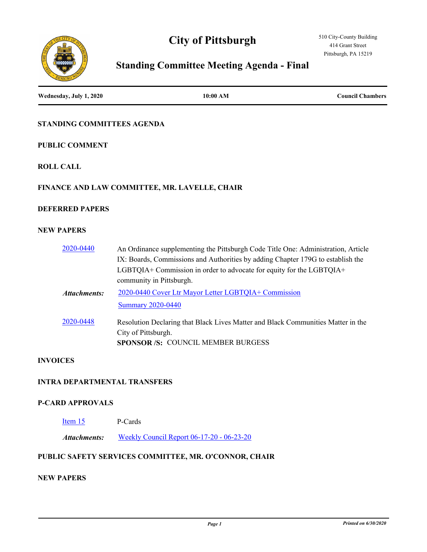# **City of Pittsburgh**





# **Standing Committee Meeting Agenda - Final**

| Wednesday, July 1, 2020             | 10:00 AM                                                                                                                                                                                                                                                                 | <b>Council Chambers</b> |
|-------------------------------------|--------------------------------------------------------------------------------------------------------------------------------------------------------------------------------------------------------------------------------------------------------------------------|-------------------------|
| STANDING COMMITTEES AGENDA          |                                                                                                                                                                                                                                                                          |                         |
| <b>PUBLIC COMMENT</b>               |                                                                                                                                                                                                                                                                          |                         |
| <b>ROLL CALL</b>                    |                                                                                                                                                                                                                                                                          |                         |
|                                     | FINANCE AND LAW COMMITTEE, MR. LAVELLE, CHAIR                                                                                                                                                                                                                            |                         |
| <b>DEFERRED PAPERS</b>              |                                                                                                                                                                                                                                                                          |                         |
| <b>NEW PAPERS</b>                   |                                                                                                                                                                                                                                                                          |                         |
| 2020-0440                           | An Ordinance supplementing the Pittsburgh Code Title One: Administration, Article<br>IX: Boards, Commissions and Authorities by adding Chapter 179G to establish the<br>LGBTQIA+ Commission in order to advocate for equity for the LGBTQIA+<br>community in Pittsburgh. |                         |
| <b>Attachments:</b>                 | 2020-0440 Cover Ltr Mayor Letter LGBTQIA+ Commission                                                                                                                                                                                                                     |                         |
|                                     | <b>Summary 2020-0440</b>                                                                                                                                                                                                                                                 |                         |
| 2020-0448                           | Resolution Declaring that Black Lives Matter and Black Communities Matter in the<br>City of Pittsburgh.<br>SPONSOR /S: COUNCIL MEMBER BURGESS                                                                                                                            |                         |
| <b>INVOICES</b>                     |                                                                                                                                                                                                                                                                          |                         |
| <b>INTRA DEPARTMENTAL TRANSFERS</b> |                                                                                                                                                                                                                                                                          |                         |
| <b>P-CARD APPROVALS</b>             |                                                                                                                                                                                                                                                                          |                         |
| Item 15                             | P-Cards                                                                                                                                                                                                                                                                  |                         |
| <b>Attachments:</b>                 | <u> Weekly Council Report 06-17-20 - 06-23-20</u>                                                                                                                                                                                                                        |                         |
|                                     | PUBLIC SAFETY SERVICES COMMITTEE, MR. O'CONNOR, CHAIR                                                                                                                                                                                                                    |                         |
| <b>NEW PAPERS</b>                   |                                                                                                                                                                                                                                                                          |                         |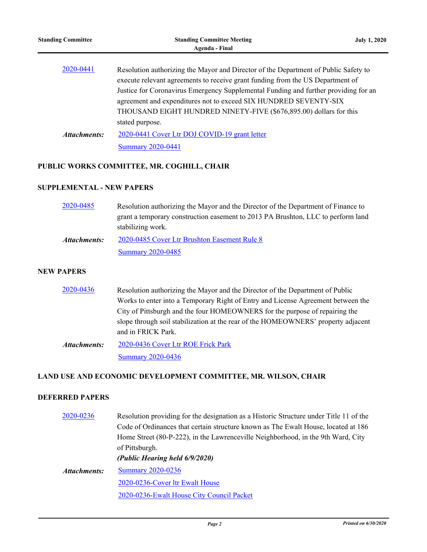| Resolution authorizing the Mayor and Director of the Department of Public Safety to<br>execute relevant agreements to receive grant funding from the US Department of<br>Justice for Coronavirus Emergency Supplemental Funding and further providing for an<br>agreement and expenditures not to exceed SIX HUNDRED SEVENTY-SIX<br>THOUSAND EIGHT HUNDRED NINETY-FIVE (\$676,895.00) dollars for this<br>stated purpose. |                          |
|---------------------------------------------------------------------------------------------------------------------------------------------------------------------------------------------------------------------------------------------------------------------------------------------------------------------------------------------------------------------------------------------------------------------------|--------------------------|
| 2020-0441 Cover Ltr DOJ COVID-19 grant letter                                                                                                                                                                                                                                                                                                                                                                             |                          |
|                                                                                                                                                                                                                                                                                                                                                                                                                           | <b>Summary 2020-0441</b> |

## **PUBLIC WORKS COMMITTEE, MR. COGHILL, CHAIR**

### **SUPPLEMENTAL - NEW PAPERS**

| 2020-0485    | Resolution authorizing the Mayor and the Director of the Department of Finance to |
|--------------|-----------------------------------------------------------------------------------|
|              | grant a temporary construction easement to 2013 PA Brushton, LLC to perform land  |
|              | stabilizing work.                                                                 |
| Attachments: | 2020-0485 Cover Ltr Brushton Easement Rule 8                                      |
|              | <b>Summary 2020-0485</b>                                                          |

#### **NEW PAPERS**

| Resolution authorizing the Mayor and the Director of the Department of Public     |
|-----------------------------------------------------------------------------------|
| Works to enter into a Temporary Right of Entry and License Agreement between the  |
| City of Pittsburgh and the four HOMEOWNERS for the purpose of repairing the       |
| slope through soil stabilization at the rear of the HOMEOWNERS' property adjacent |
| and in FRICK Park.                                                                |
| 2020-0436 Cover Ltr ROE Frick Park                                                |
|                                                                                   |

**[Summary 2020-0436](http://pittsburgh.legistar.com/gateway.aspx?M=F&ID=04d34328-6c81-4cba-ab6a-36c994b85d42.docx)** 

## **LAND USE AND ECONOMIC DEVELOPMENT COMMITTEE, MR. WILSON, CHAIR**

### **DEFERRED PAPERS**

| of Pittsburgh.<br>(Public Hearing held 6/9/2020)<br><b>Summary 2020-0236</b><br>Attachments:<br>2020-0236-Cover ltr Ewalt House<br>2020-0236-Ewalt House City Council Packet | 2020-0236 | Resolution providing for the designation as a Historic Structure under Title 11 of the |
|------------------------------------------------------------------------------------------------------------------------------------------------------------------------------|-----------|----------------------------------------------------------------------------------------|
|                                                                                                                                                                              |           | Code of Ordinances that certain structure known as The Ewalt House, located at 186     |
|                                                                                                                                                                              |           | Home Street (80-P-222), in the Lawrenceville Neighborhood, in the 9th Ward, City       |
|                                                                                                                                                                              |           |                                                                                        |
|                                                                                                                                                                              |           |                                                                                        |
|                                                                                                                                                                              |           |                                                                                        |
|                                                                                                                                                                              |           |                                                                                        |
|                                                                                                                                                                              |           |                                                                                        |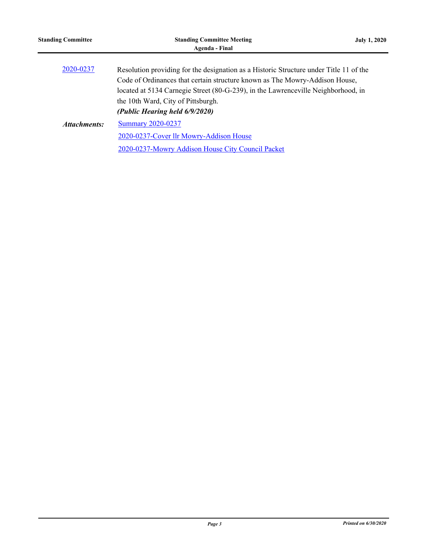| <b>Standing Committee</b> | <b>Standing Committee Meeting</b><br>Agenda - Final                                                                                                                                                                                                                                                                                | <b>July 1, 2020</b> |
|---------------------------|------------------------------------------------------------------------------------------------------------------------------------------------------------------------------------------------------------------------------------------------------------------------------------------------------------------------------------|---------------------|
| 2020-0237                 | Resolution providing for the designation as a Historic Structure under Title 11 of the<br>Code of Ordinances that certain structure known as The Mowry-Addison House,<br>located at 5134 Carnegie Street (80-G-239), in the Lawrenceville Neighborhood, in<br>the 10th Ward, City of Pittsburgh.<br>(Public Hearing held 6/9/2020) |                     |
| Attachments:              | <b>Summary 2020-0237</b><br>2020-0237-Cover llr Mowry-Addison House<br>2020-0237-Mowry Addison House City Council Packet                                                                                                                                                                                                           |                     |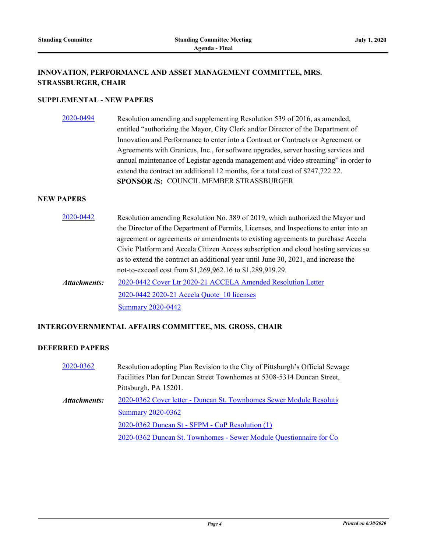#### **INNOVATION, PERFORMANCE AND ASSET MANAGEMENT COMMITTEE, MRS. STRASSBURGER, CHAIR**

#### **SUPPLEMENTAL - NEW PAPERS**

[2020-0494](http://pittsburgh.legistar.com/gateway.aspx?m=l&id=/matter.aspx?key=25296) Resolution amending and supplementing Resolution 539 of 2016, as amended, entitled "authorizing the Mayor, City Clerk and/or Director of the Department of Innovation and Performance to enter into a Contract or Contracts or Agreement or Agreements with Granicus, Inc., for software upgrades, server hosting services and annual maintenance of Legistar agenda management and video streaming" in order to extend the contract an additional 12 months, for a total cost of \$247,722.22. **SPONSOR /S:** COUNCIL MEMBER STRASSBURGER

#### **NEW PAPERS**

[2020-0442](http://pittsburgh.legistar.com/gateway.aspx?m=l&id=/matter.aspx?key=25243) Resolution amending Resolution No. 389 of 2019, which authorized the Mayor and the Director of the Department of Permits, Licenses, and Inspections to enter into an agreement or agreements or amendments to existing agreements to purchase Accela Civic Platform and Accela Citizen Access subscription and cloud hosting services so as to extend the contract an additional year until June 30, 2021, and increase the not-to-exceed cost from \$1,269,962.16 to \$1,289,919.29. [2020-0442 Cover Ltr 2020-21 ACCELA Amended Resolution Letter](http://pittsburgh.legistar.com/gateway.aspx?M=F&ID=7a56c7d4-def3-4dce-87fb-3e1a44c01d2c.docx) [2020-0442 2020-21 Accela Quote\\_10 licenses](http://pittsburgh.legistar.com/gateway.aspx?M=F&ID=8250a0c1-3e7b-497e-941a-22f0e587f8c8.pdf) *Attachments:*

[Summary 2020-0442](http://pittsburgh.legistar.com/gateway.aspx?M=F&ID=fed9c632-6e79-4e98-b616-6659393cadb1.docx)

#### **INTERGOVERNMENTAL AFFAIRS COMMITTEE, MS. GROSS, CHAIR**

#### **DEFERRED PAPERS**

| 2020-0362           | Resolution adopting Plan Revision to the City of Pittsburgh's Official Sewage |
|---------------------|-------------------------------------------------------------------------------|
|                     | Facilities Plan for Duncan Street Townhomes at 5308-5314 Duncan Street,       |
|                     | Pittsburgh, PA 15201.                                                         |
| <b>Attachments:</b> | 2020-0362 Cover letter - Duncan St. Townhomes Sewer Module Resolution         |
|                     | <b>Summary 2020-0362</b>                                                      |
|                     | 2020-0362 Duncan St - SFPM - CoP Resolution (1)                               |
|                     | 2020-0362 Duncan St. Townhomes - Sewer Module Questionnaire for Co            |